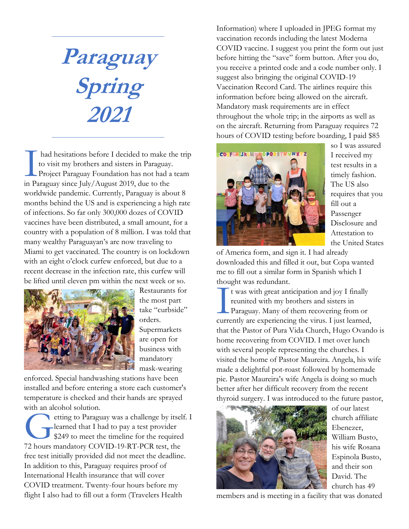**Paraguay Spring 2021**

had hesitations before I decided to make the trip to visit my brothers and sisters in Paraguay. Project Paraguay Foundation has not had a team had hesitations before I decided to make to visit my brothers and sisters in Paraguay Project Paraguay Foundation has not had a in Paraguay since July/August 2019, due to the worldwide pandemic. Currently, Paraguay is about 8 months behind the US and is experiencing a high rate of infections. So far only 300,000 dozes of COVID vaccines have been distributed, a small amount, for a country with a population of 8 million. I was told that many wealthy Paraguayan's are now traveling to Miami to get vaccinated. The country is on lockdown with an eight o'clock curfew enforced, but due to a recent decrease in the infection rate, this curfew will be lifted until eleven pm within the next week or so.



Restaurants for the most part take "curbside" orders.

Supermarkets are open for business with mandatory mask-wearing

enforced. Special handwashing stations have been installed and before entering a store each customer's temperature is checked and their hands are sprayed with an alcohol solution.

etting to Paraguay was a challenge by itself. I learned that I had to pay a test provider \$249 to meet the timeline for the required etting to Paraguay was a challenge by itsel<br>learned that I had to pay a test provider<br>\$249 to meet the timeline for the required<br>72 hours mandatory COVID-19-RT-PCR test, the free test initially provided did not meet the deadline. In addition to this, Paraguay requires proof of International Health insurance that will cover COVID treatment. Twenty-four hours before my flight I also had to fill out a form (Travelers Health

Information) where I uploaded in JPEG format my vaccination records including the latest Moderna COVID vaccine. I suggest you print the form out just before hitting the "save" form button. After you do, you receive a printed code and a code number only. I suggest also bringing the original COVID-19 Vaccination Record Card. The airlines require this information before being allowed on the aircraft. Mandatory mask requirements are in effect throughout the whole trip; in the airports as well as on the aircraft. Returning from Paraguay requires 72 hours of COVID testing before boarding, I paid \$85



so I was assured I received my test results in a timely fashion. The US also requires that you fill out a Passenger Disclosure and Attestation to the United States

of America form, and sign it. I had already downloaded this and filled it out, but Copa wanted me to fill out a similar form in Spanish which I thought was redundant.

t was with great anticipation and joy I finally reunited with my brothers and sisters in Paraguay. Many of them recovering from or currently are experiencing the virus. I just learned, that the Pastor of Pura Vida Church, Hugo Ovando is home recovering from COVID. I met over lunch with several people representing the churches. I visited the home of Pastor Maureira. Angela, his wife made a delightful pot-roast followed by homemade pie. Pastor Maureira's wife Angela is doing so much better after her difficult recovery from the recent thyroid surgery. I was introduced to the future pastor, ulou<br>Ultrea



of our latest church affiliate Ebenezer, William Busto, his wife Rosana Espinola Busto, and their son David. The church has 49

members and is meeting in a facility that was donated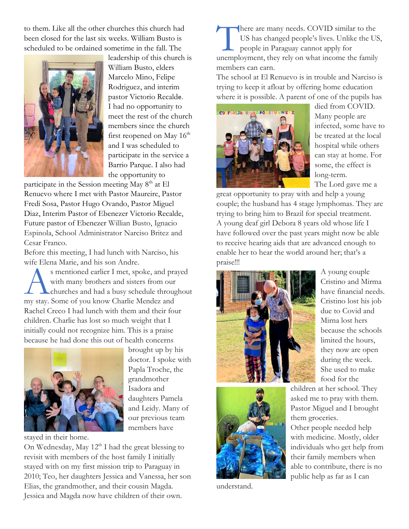to them. Like all the other churches this church had been closed for the last six weeks. William Busto is scheduled to be ordained sometime in the fall. The



leadership of this church is William Busto, elders Marcelo Mino, Felipe Rodriguez, and interim pastor Victorio Recalde. I had no opportunity to meet the rest of the church members since the church first reopened on May  $16<sup>th</sup>$ and I was scheduled to participate in the service a Barrio Parque. I also had the opportunity to

participate in the Session meeting May 8<sup>th</sup> at El Renuevo where I met with Pastor Maureire, Pastor Fredi Sosa, Pastor Hugo Ovando, Pastor Miguel Diaz, Interim Pastor of Ebenezer Victorio Recalde, Future pastor of Ebenezer Willian Busto, Ignacio Espinola, School Administrator Narciso Britez and Cesar Franco.

Before this meeting, I had lunch with Narciso, his wife Elena Marie, and his son Andre.

s mentioned earlier I met, spoke, and prayed with many brothers and sisters from our churches and had a busy schedule throughout s mentioned earlier I met, spoke, and praise in the solution of the set of the set of with many brothers and sisters from our churches and had a busy schedule throughly stay. Some of you know Charlie Mendez and Rachel Creco I had lunch with them and their four children. Charlie has lost so much weight that I initially could not recognize him. This is a praise because he had done this out of health concerns



brought up by his doctor. I spoke with Papla Troche, the grandmother Isadora and daughters Pamela and Leidy. Many of our previous team members have

stayed in their home.

On Wednesday, May  $12<sup>th</sup>$  I had the great blessing to revisit with members of the host family I initially stayed with on my first mission trip to Paraguay in 2010; Teo, her daughters Jessica and Vanessa, her son Elias, the grandmother, and their cousin Magda. Jessica and Magda now have children of their own.

here are many needs. COVID similar to the US has changed people's lives. Unlike the US, people in Paraguay cannot apply for There are many needs. COVID similar to the<br>US has changed people's lives. Unlike the US<br>people in Paraguay cannot apply for<br>unemployment, they rely on what income the family members can earn.

The school at El Renuevo is in trouble and Narciso is trying to keep it afloat by offering home education where it is possible. A parent of one of the pupils has



died from COVID. Many people are infected, some have to be treated at the local hospital while others can stay at home. For some, the effect is long-term. The Lord gave me a

great opportunity to pray with and help a young couple; the husband has 4 stage lymphomas. They are trying to bring him to Brazil for special treatment. A young deaf girl Debora 8 years old whose life I have followed over the past years might now be able to receive hearing aids that are advanced enough to enable her to hear the world around her; that's a praise!!!





understand.

A young couple Cristino and Mirma have financial needs. Cristino lost his job due to Covid and Mirna lost hers because the schools limited the hours, they now are open during the week. She used to make food for the

children at her school. They asked me to pray with them. Pastor Miguel and I brought them groceries.

Other people needed help with medicine. Mostly, older individuals who get help from their family members when able to contribute, there is no public help as far as I can